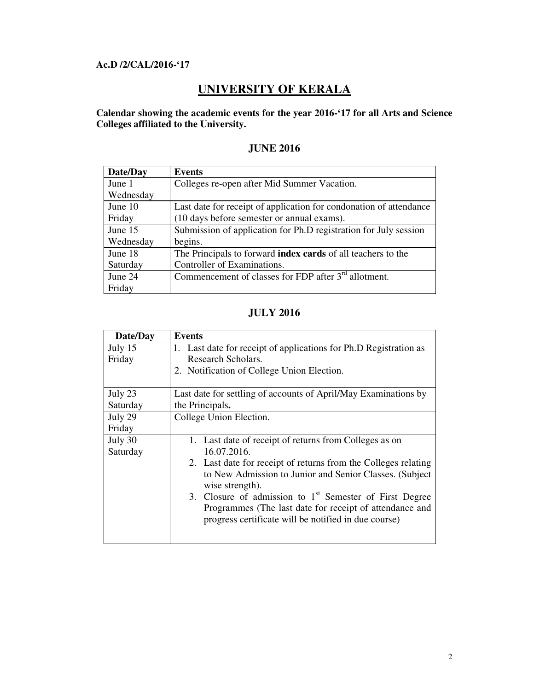#### **Ac.D /2/CAL/2016-'17**

# **UNIVERSITY OF KERALA**

**Calendar showing the academic events for the year 2016-'17 for all Arts and Science Colleges affiliated to the University.** 

| Date/Day  | Events                                                             |
|-----------|--------------------------------------------------------------------|
| June 1    | Colleges re-open after Mid Summer Vacation.                        |
| Wednesday |                                                                    |
| June 10   | Last date for receipt of application for condonation of attendance |
| Friday    | (10 days before semester or annual exams).                         |
| June 15   | Submission of application for Ph.D registration for July session   |
| Wednesday | begins.                                                            |
| June 18   | The Principals to forward index cards of all teachers to the       |
| Saturday  | Controller of Examinations.                                        |
| June 24   | Commencement of classes for FDP after $3rd$ allotment.             |
| Friday    |                                                                    |

### **JUNE 2016**

#### **JULY 2016**

| Date/Day | <b>Events</b>                                                                                                   |
|----------|-----------------------------------------------------------------------------------------------------------------|
| July 15  | 1. Last date for receipt of applications for Ph.D Registration as                                               |
| Friday   | Research Scholars.                                                                                              |
|          | 2. Notification of College Union Election.                                                                      |
|          |                                                                                                                 |
| July 23  | Last date for settling of accounts of April/May Examinations by                                                 |
| Saturday | the Principals.                                                                                                 |
| July 29  | College Union Election.                                                                                         |
| Friday   |                                                                                                                 |
| July 30  | 1. Last date of receipt of returns from Colleges as on                                                          |
| Saturday | 16.07.2016.                                                                                                     |
|          | 2. Last date for receipt of returns from the Colleges relating                                                  |
|          | to New Admission to Junior and Senior Classes. (Subject<br>wise strength).                                      |
|          | 3. Closure of admission to $1st$ Semester of First Degree                                                       |
|          | Programmes (The last date for receipt of attendance and<br>progress certificate will be notified in due course) |
|          |                                                                                                                 |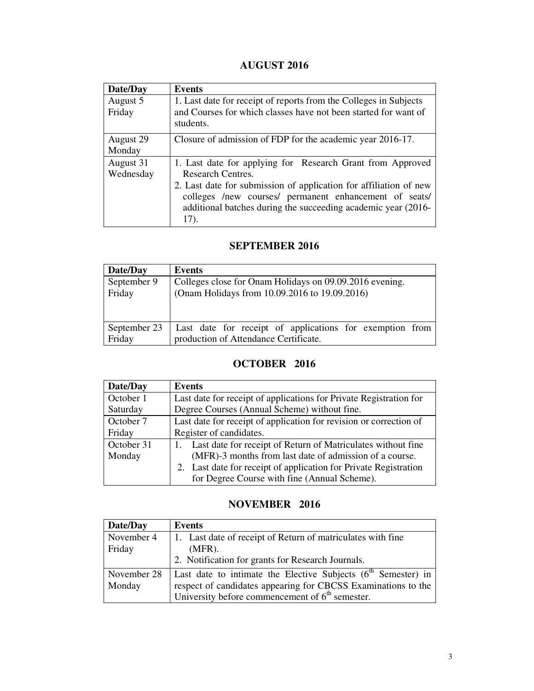# **AUGUST 2016**

| Date/Day               | <b>Events</b>                                                                                                                                                                                                                                                                                  |
|------------------------|------------------------------------------------------------------------------------------------------------------------------------------------------------------------------------------------------------------------------------------------------------------------------------------------|
| August 5<br>Friday     | 1. Last date for receipt of reports from the Colleges in Subjects<br>and Courses for which classes have not been started for want of<br>students.                                                                                                                                              |
| August 29<br>Monday    | Closure of admission of FDP for the academic year 2016-17.                                                                                                                                                                                                                                     |
| August 31<br>Wednesday | 1. Last date for applying for Research Grant from Approved<br><b>Research Centres.</b><br>2. Last date for submission of application for affiliation of new<br>colleges /new courses/ permanent enhancement of seats/<br>additional batches during the succeeding academic year (2016-<br>17). |

#### **SEPTEMBER 2016**

| Date/Day     | Events                                                   |
|--------------|----------------------------------------------------------|
| September 9  | Colleges close for Onam Holidays on 09.09.2016 evening.  |
| Friday       | (Onam Holidays from 10.09.2016 to 19.09.2016)            |
|              |                                                          |
|              |                                                          |
| September 23 | Last date for receipt of applications for exemption from |
| Friday       | production of Attendance Certificate.                    |

## **OCTOBER 2016**

| Date/Day   | <b>Events</b>                                                      |
|------------|--------------------------------------------------------------------|
| October 1  | Last date for receipt of applications for Private Registration for |
| Saturday   | Degree Courses (Annual Scheme) without fine.                       |
| October 7  | Last date for receipt of application for revision or correction of |
| Friday     | Register of candidates.                                            |
| October 31 | Last date for receipt of Return of Matriculates without fine       |
| Monday     | (MFR)-3 months from last date of admission of a course.            |
|            | 2. Last date for receipt of application for Private Registration   |
|            | for Degree Course with fine (Annual Scheme).                       |

#### **NOVEMBER 2016**

| Date/Day    | Events                                                          |
|-------------|-----------------------------------------------------------------|
| November 4  | 1. Last date of receipt of Return of matriculates with fine     |
| Friday      | $(MFR)$ .                                                       |
|             | 2. Notification for grants for Research Journals.               |
| November 28 | Last date to intimate the Elective Subjects $(6th$ Semester) in |
| Monday      | respect of candidates appearing for CBCSS Examinations to the   |
|             | University before commencement of $6th$ semester.               |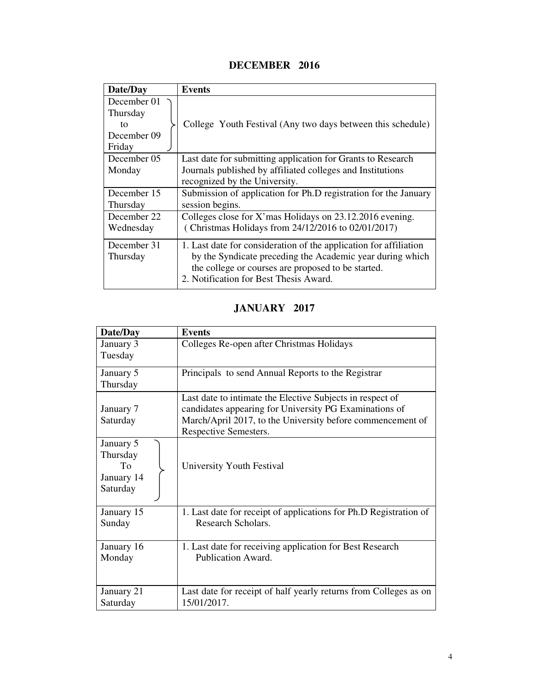# **DECEMBER 2016**

| Date/Day    | <b>Events</b>                                                     |
|-------------|-------------------------------------------------------------------|
| December 01 |                                                                   |
| Thursday    |                                                                   |
| to          | College Youth Festival (Any two days between this schedule)       |
| December 09 |                                                                   |
| Friday      |                                                                   |
| December 05 | Last date for submitting application for Grants to Research       |
| Monday      | Journals published by affiliated colleges and Institutions        |
|             | recognized by the University.                                     |
| December 15 | Submission of application for Ph.D registration for the January   |
| Thursday    | session begins.                                                   |
| December 22 | Colleges close for X'mas Holidays on 23.12.2016 evening.          |
| Wednesday   | (Christmas Holidays from 24/12/2016 to 02/01/2017)                |
| December 31 | 1. Last date for consideration of the application for affiliation |
| Thursday    | by the Syndicate preceding the Academic year during which         |
|             | the college or courses are proposed to be started.                |
|             | 2. Notification for Best Thesis Award.                            |

# **JANUARY 2017**

| Date/Day                                              | <b>Events</b>                                                                   |
|-------------------------------------------------------|---------------------------------------------------------------------------------|
| January 3                                             | Colleges Re-open after Christmas Holidays                                       |
| Tuesday                                               |                                                                                 |
| January 5<br>Thursday                                 | Principals to send Annual Reports to the Registrar                              |
|                                                       |                                                                                 |
|                                                       | Last date to intimate the Elective Subjects in respect of                       |
| January 7                                             | candidates appearing for University PG Examinations of                          |
| Saturday                                              | March/April 2017, to the University before commencement of                      |
|                                                       | Respective Semesters.                                                           |
| January 5<br>Thursday<br>To<br>January 14<br>Saturday | University Youth Festival                                                       |
| January 15                                            | 1. Last date for receipt of applications for Ph.D Registration of               |
| Sunday                                                | Research Scholars.                                                              |
| January 16                                            | 1. Last date for receiving application for Best Research                        |
| Monday                                                | Publication Award.                                                              |
| January 21<br>Saturday                                | Last date for receipt of half yearly returns from Colleges as on<br>15/01/2017. |